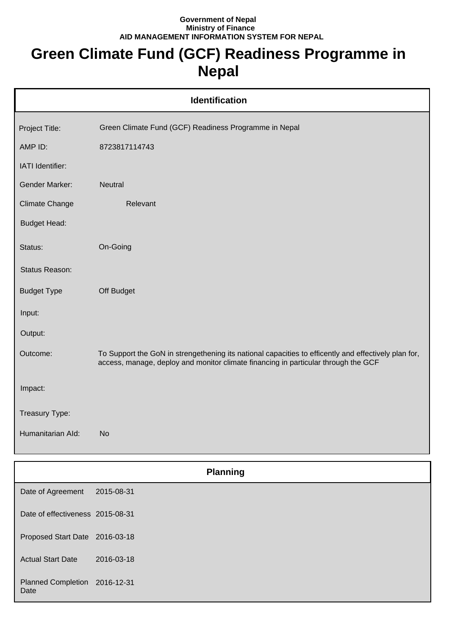## **Government of Nepal Ministry of Finance AID MANAGEMENT INFORMATION SYSTEM FOR NEPAL**

## **Green Climate Fund (GCF) Readiness Programme in Nepal**

|                       | <b>Identification</b>                                                                                                                                                                      |
|-----------------------|--------------------------------------------------------------------------------------------------------------------------------------------------------------------------------------------|
| Project Title:        | Green Climate Fund (GCF) Readiness Programme in Nepal                                                                                                                                      |
| AMP ID:               | 8723817114743                                                                                                                                                                              |
| IATI Identifier:      |                                                                                                                                                                                            |
| <b>Gender Marker:</b> | <b>Neutral</b>                                                                                                                                                                             |
| <b>Climate Change</b> | Relevant                                                                                                                                                                                   |
| <b>Budget Head:</b>   |                                                                                                                                                                                            |
| Status:               | On-Going                                                                                                                                                                                   |
| Status Reason:        |                                                                                                                                                                                            |
| <b>Budget Type</b>    | Off Budget                                                                                                                                                                                 |
| Input:                |                                                                                                                                                                                            |
| Output:               |                                                                                                                                                                                            |
| Outcome:              | To Support the GoN in strengethening its national capacities to efficently and effectively plan for,<br>access, manage, deploy and monitor climate financing in particular through the GCF |
| Impact:               |                                                                                                                                                                                            |
| Treasury Type:        |                                                                                                                                                                                            |
| Humanitarian Ald:     | <b>No</b>                                                                                                                                                                                  |

|                                       | <b>Planning</b> |  |
|---------------------------------------|-----------------|--|
| Date of Agreement                     | 2015-08-31      |  |
| Date of effectiveness 2015-08-31      |                 |  |
| Proposed Start Date 2016-03-18        |                 |  |
| <b>Actual Start Date</b>              | 2016-03-18      |  |
| Planned Completion 2016-12-31<br>Date |                 |  |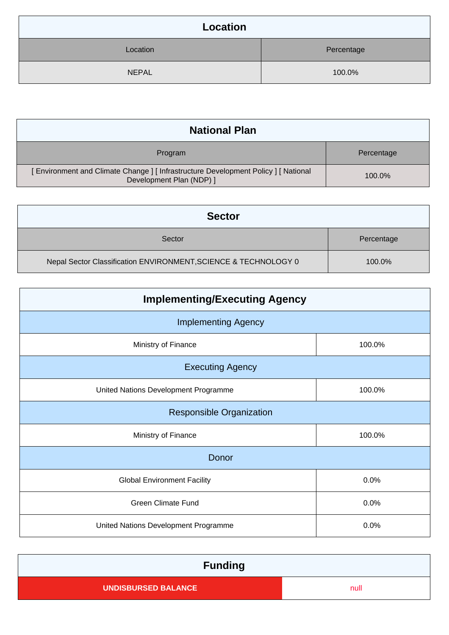| Location     |            |
|--------------|------------|
| Location     | Percentage |
| <b>NEPAL</b> | 100.0%     |

| <b>National Plan</b>                                                                                        |            |  |
|-------------------------------------------------------------------------------------------------------------|------------|--|
| Program                                                                                                     | Percentage |  |
| Environment and Climate Change ] [Infrastructure Development Policy ] [National<br>Development Plan (NDP) ] | 100.0%     |  |

| <b>Sector</b>                                                   |            |  |
|-----------------------------------------------------------------|------------|--|
| Sector                                                          | Percentage |  |
| Nepal Sector Classification ENVIRONMENT, SCIENCE & TECHNOLOGY 0 | 100.0%     |  |

| <b>Implementing/Executing Agency</b> |        |  |
|--------------------------------------|--------|--|
| <b>Implementing Agency</b>           |        |  |
| Ministry of Finance                  | 100.0% |  |
| <b>Executing Agency</b>              |        |  |
| United Nations Development Programme | 100.0% |  |
| <b>Responsible Organization</b>      |        |  |
| Ministry of Finance                  | 100.0% |  |
| Donor                                |        |  |
| <b>Global Environment Facility</b>   | 0.0%   |  |
| <b>Green Climate Fund</b>            | 0.0%   |  |
| United Nations Development Programme | 0.0%   |  |

| <b>Funding</b>             |      |
|----------------------------|------|
| <b>UNDISBURSED BALANCE</b> | null |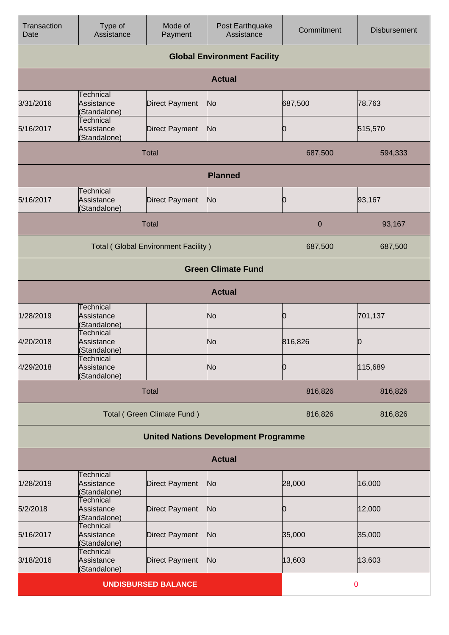| Transaction<br>Date | Type of<br>Assistance                          | Mode of<br>Payment                         | Post Earthquake<br>Assistance               | Commitment  | <b>Disbursement</b> |
|---------------------|------------------------------------------------|--------------------------------------------|---------------------------------------------|-------------|---------------------|
|                     |                                                |                                            | <b>Global Environment Facility</b>          |             |                     |
|                     |                                                |                                            | <b>Actual</b>                               |             |                     |
| 3/31/2016           | <b>Technical</b><br>Assistance<br>(Standalone) | <b>Direct Payment</b>                      | No                                          | 687,500     | 78,763              |
| 5/16/2017           | <b>Technical</b><br>Assistance<br>(Standalone) | <b>Direct Payment</b>                      | No                                          | Ю           | 515,570             |
|                     |                                                | <b>Total</b>                               |                                             | 687,500     | 594,333             |
|                     |                                                |                                            | <b>Planned</b>                              |             |                     |
| 5/16/2017           | <b>Technical</b><br>Assistance<br>(Standalone) | <b>Direct Payment</b>                      | No                                          | Ю           | 93,167              |
|                     |                                                | <b>Total</b>                               |                                             | 0           | 93,167              |
|                     |                                                | <b>Total (Global Environment Facility)</b> |                                             | 687,500     | 687,500             |
|                     |                                                |                                            | <b>Green Climate Fund</b>                   |             |                     |
|                     |                                                |                                            | <b>Actual</b>                               |             |                     |
| 1/28/2019           | <b>Technical</b><br>Assistance<br>(Standalone) |                                            | No                                          | Ю           | 701,137             |
| 4/20/2018           | <b>Technical</b><br>Assistance<br>(Standalone) |                                            | No                                          | 816,826     | 0                   |
| 4/29/2018           | Technical<br>Assistance<br>(Standalone)        |                                            | No                                          | Ю           | 115,689             |
|                     |                                                | <b>Total</b>                               |                                             | 816,826     | 816,826             |
|                     |                                                | Total (Green Climate Fund)                 |                                             | 816,826     | 816,826             |
|                     |                                                |                                            | <b>United Nations Development Programme</b> |             |                     |
|                     |                                                |                                            | <b>Actual</b>                               |             |                     |
| 1/28/2019           | <b>Technical</b><br>Assistance<br>(Standalone) | <b>Direct Payment</b>                      | No                                          | 28,000      | 16,000              |
| 5/2/2018            | Technical<br>Assistance<br>(Standalone)        | <b>Direct Payment</b>                      | No                                          | Ю           | 12,000              |
| 5/16/2017           | Technical<br>Assistance<br>(Standalone)        | Direct Payment                             | No                                          | 35,000      | 35,000              |
| 3/18/2016           | Technical<br>Assistance<br>(Standalone)        | <b>Direct Payment</b>                      | No                                          | 13,603      | 13,603              |
|                     |                                                | <b>UNDISBURSED BALANCE</b>                 |                                             | $\mathbf 0$ |                     |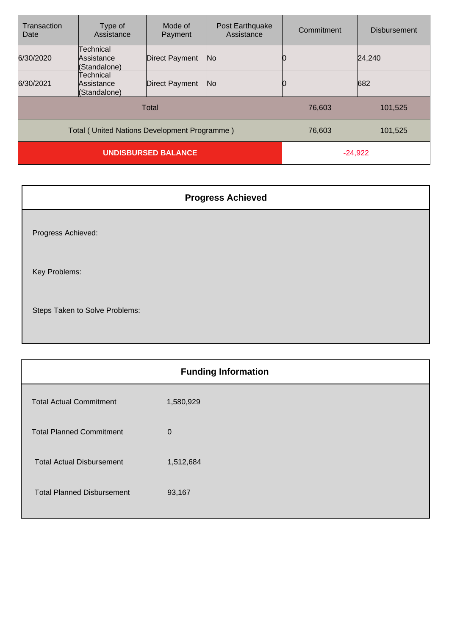| Transaction<br>Date | Type of<br>Assistance                        | Mode of<br>Payment    | Post Earthquake<br>Assistance | Commitment | <b>Disbursement</b> |
|---------------------|----------------------------------------------|-----------------------|-------------------------------|------------|---------------------|
| 6/30/2020           | Technical<br>Assistance<br>(Standalone)      | <b>Direct Payment</b> | No                            |            | 24,240              |
| 6/30/2021           | Technical<br>Assistance<br>(Standalone)      | <b>Direct Payment</b> | No                            |            | 682                 |
|                     |                                              | <b>Total</b>          |                               | 76,603     | 101,525             |
|                     | Total (United Nations Development Programme) |                       |                               | 76,603     | 101,525             |
|                     | <b>UNDISBURSED BALANCE</b>                   |                       |                               | $-24,922$  |                     |

| <b>Progress Achieved</b>       |
|--------------------------------|
| Progress Achieved:             |
| Key Problems:                  |
| Steps Taken to Solve Problems: |

| <b>Funding Information</b>        |              |  |
|-----------------------------------|--------------|--|
| <b>Total Actual Commitment</b>    | 1,580,929    |  |
| <b>Total Planned Commitment</b>   | $\mathbf{0}$ |  |
| <b>Total Actual Disbursement</b>  | 1,512,684    |  |
| <b>Total Planned Disbursement</b> | 93,167       |  |